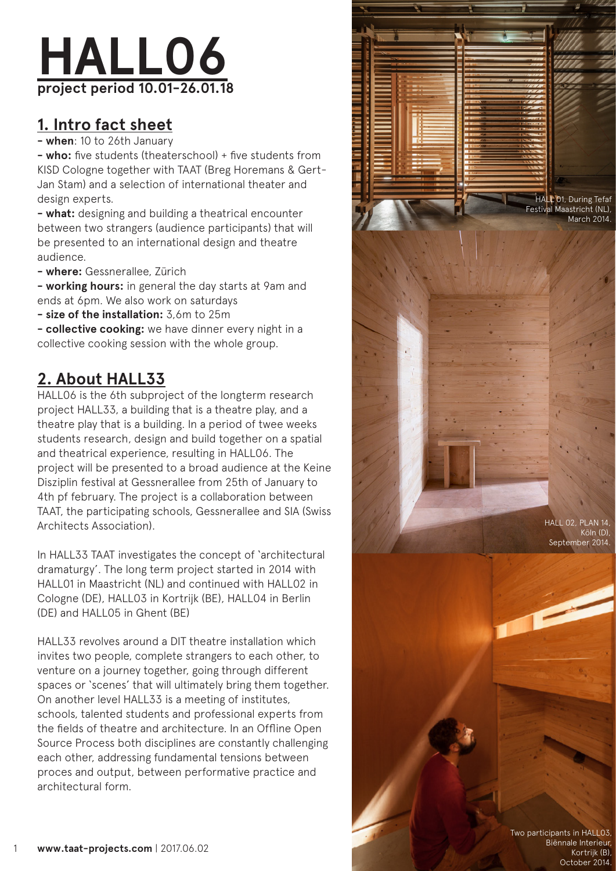

## **1. Intro fact sheet**

**- when**: 10 to 26th January

**- who:** five students (theaterschool) + five students from KISD Cologne together with TAAT (Breg Horemans & Gert-Jan Stam) and a selection of international theater and design experts.

**- what:** designing and building a theatrical encounter between two strangers (audience participants) that will be presented to an international design and theatre audience.

**- where:** Gessnerallee, Zürich

**- working hours:** in general the day starts at 9am and ends at 6pm. We also work on saturdays

**- size of the installation:** 3,6m to 25m

**- collective cooking:** we have dinner every night in a collective cooking session with the whole group.

## **2. About HALL33**

HALL06 is the 6th subproject of the longterm research project HALL33, a building that is a theatre play, and a theatre play that is a building. In a period of twee weeks students research, design and build together on a spatial and theatrical experience, resulting in HALL06. The project will be presented to a broad audience at the Keine Disziplin festival at Gessnerallee from 25th of January to 4th pf february. The project is a collaboration between TAAT, the participating schools, Gessnerallee and SIA (Swiss Architects Association).

In HALL33 TAAT investigates the concept of 'architectural dramaturgy'. The long term project started in 2014 with HALL01 in Maastricht (NL) and continued with HALL02 in Cologne (DE), HALL03 in Kortrijk (BE), HALL04 in Berlin (DE) and HALL05 in Ghent (BE)

HALL33 revolves around a DIT theatre installation which invites two people, complete strangers to each other, to venture on a journey together, going through different spaces or 'scenes' that will ultimately bring them together. On another level HALL33 is a meeting of institutes, schools, talented students and professional experts from the fields of theatre and architecture. In an Offline Open Source Process both disciplines are constantly challenging each other, addressing fundamental tensions between proces and output, between performative practice and architectural form.



**www.taat-projects.com** | 2017.06.02 1